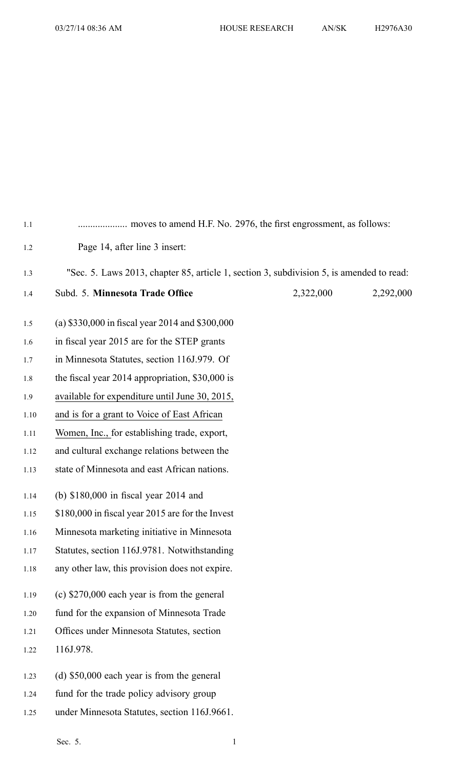| 1.1  |                                                                                          |           |           |
|------|------------------------------------------------------------------------------------------|-----------|-----------|
| 1.2  | Page 14, after line 3 insert:                                                            |           |           |
| 1.3  | "Sec. 5. Laws 2013, chapter 85, article 1, section 3, subdivision 5, is amended to read: |           |           |
| 1.4  | Subd. 5. Minnesota Trade Office                                                          | 2,322,000 | 2,292,000 |
| 1.5  | (a) \$330,000 in fiscal year 2014 and \$300,000                                          |           |           |
| 1.6  | in fiscal year 2015 are for the STEP grants                                              |           |           |
| 1.7  | in Minnesota Statutes, section 116J.979. Of                                              |           |           |
| 1.8  | the fiscal year 2014 appropriation, \$30,000 is                                          |           |           |
| 1.9  | available for expenditure until June 30, 2015,                                           |           |           |
| 1.10 | and is for a grant to Voice of East African                                              |           |           |
| 1.11 | Women, Inc., for establishing trade, export,                                             |           |           |
| 1.12 | and cultural exchange relations between the                                              |           |           |
| 1.13 | state of Minnesota and east African nations.                                             |           |           |
| 1.14 | (b) $$180,000$ in fiscal year 2014 and                                                   |           |           |
| 1.15 | \$180,000 in fiscal year 2015 are for the Invest                                         |           |           |
| 1.16 | Minnesota marketing initiative in Minnesota                                              |           |           |
| 1.17 | Statutes, section 116J.9781. Notwithstanding                                             |           |           |
| 1.18 | any other law, this provision does not expire.                                           |           |           |
| 1.19 | (c) $$270,000$ each year is from the general                                             |           |           |
| 1.20 | fund for the expansion of Minnesota Trade                                                |           |           |
| 1.21 | Offices under Minnesota Statutes, section                                                |           |           |
| 1.22 | 116J.978.                                                                                |           |           |
| 1.23 | (d) \$50,000 each year is from the general                                               |           |           |
| 1.24 | fund for the trade policy advisory group                                                 |           |           |

1.25 under Minnesota Statutes, section 116J.9661.